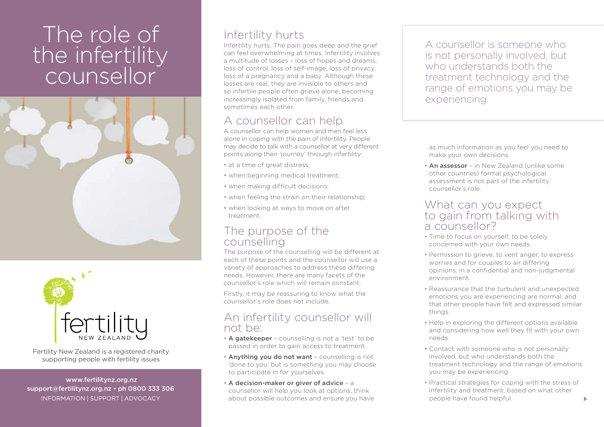# The role of the infertility counsellor





Fertility New Zealand is a registered charity supporting people with fertility issues

 www.fertilitynz.org.nz support@fertilitynz.org.nz • ph 0800 333 306 information | support | advocacy

## Infertility hurts

Infertility hurts. The pain goes deep and the grief can feel overwhelming at times. Infertility involves a multitude of losses – loss of hopes and dreams, loss of control, loss of self-image, loss of privacy, loss of a pregnancy and a baby. Although these losses are real, they are invisible to others and so infertile people often grieve alone, becoming increasingly isolated from family, friends and sometimes each other.

## A counsellor can help

A counsellor can help women and men feel less alone in coping with the pain of infertility. People may decide to talk with a counsellor at very different points along their 'journey' through infertility:

- at a time of great distress:
- when beginning medical treatment;
- when making difficult decisions;
- when feeling the strain on their relationship;
- when looking at ways to move on after treatment.

### The purpose of the counselling

The purpose of the counselling will be different at each of these points and the counsellor will use a variety of approaches to address these differing needs. However, there are many facets of the counsellor's role which will remain constant.

Firstly, it may be reassuring to know what the counsellor's role does not include.

#### An infertility counsellor will not be:

- A gatekeeper counselling is not a 'test' to be passed in order to gain access to treatment.
- Anything you do not want counselling is not 'done to you' but is something you may choose to participate in for yourselves.
- A decision-maker or giver of advice a counsellor will help you look at options, think about possible outcomes and ensure you have

A counsellor is someone who is not personally involved, but who understands both the treatment technology and the range of emotions you may be experiencing.

as much information as you feel you need to make your own decisions.

• An assessor - in New Zealand (unlike some other countries) formal psychological assessment is not part of the infertility counsellor's role.

#### What can you expect to gain from talking with a counsellor?

- Time to focus on yourself, to be solely concerned with your own needs.
- Permission to grieve, to vent anger, to express worries and for couples to air differing opinions, in a confidential and non-judgmental environment.
- Reassurance that the turbulent and unexpected emotions you are experiencing are normal, and that other people have felt and expressed similar things.
- Help in exploring the different options available and considering how well they fit with your own needs.
- Contact with someone who is not personally involved, but who understands both the treatment technology and the range of emotions you may be experiencing.
- Practical strategies for coping with the stress of infertility and treatment, based on what other people have found helpful.

 $\blacktriangleright$